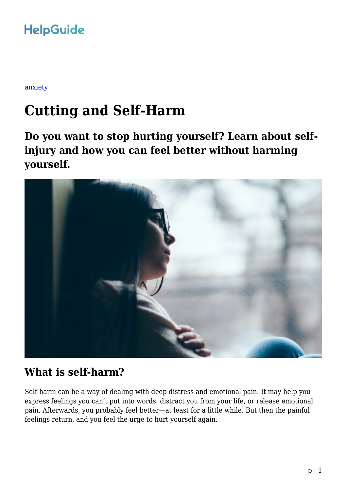#### [anxiety](https://www.helpguide.org/home-pages/anxiety.htm)

# **Cutting and Self-Harm**

**Do you want to stop hurting yourself? Learn about selfinjury and how you can feel better without harming yourself.**



### **What is self-harm?**

Self-harm can be a way of dealing with deep distress and emotional pain. It may help you express feelings you can't put into words, distract you from your life, or release emotional pain. Afterwards, you probably feel better—at least for a little while. But then the painful feelings return, and you feel the urge to hurt yourself again.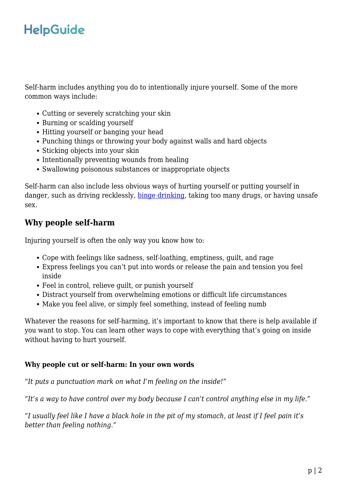Self-harm includes anything you do to intentionally injure yourself. Some of the more common ways include:

- Cutting or severely scratching your skin
- Burning or scalding yourself
- Hitting yourself or banging your head
- Punching things or throwing your body against walls and hard objects
- Sticking objects into your skin
- Intentionally preventing wounds from healing
- Swallowing poisonous substances or inappropriate objects

Self-harm can also include less obvious ways of hurting yourself or putting yourself in danger, such as driving recklessly, [binge drinking,](https://www.helpguide.org/articles/addictions/alcoholism-and-alcohol-abuse.htm) taking too many drugs, or having unsafe sex.

#### **Why people self-harm**

Injuring yourself is often the only way you know how to:

- Cope with feelings like sadness, self-loathing, emptiness, guilt, and rage
- Express feelings you can't put into words or release the pain and tension you feel inside
- Feel in control, relieve guilt, or punish yourself
- Distract yourself from overwhelming emotions or difficult life circumstances
- Make you feel alive, or simply feel something, instead of feeling numb

Whatever the reasons for self-harming, it's important to know that there is help available if you want to stop. You can learn other ways to cope with everything that's going on inside without having to hurt yourself.

#### **Why people cut or self-harm: In your own words**

*"It puts a punctuation mark on what I'm feeling on the inside!"*

*"It's a way to have control over my body because I can't control anything else in my life."*

*"I usually feel like I have a black hole in the pit of my stomach, at least if I feel pain it's better than feeling nothing."*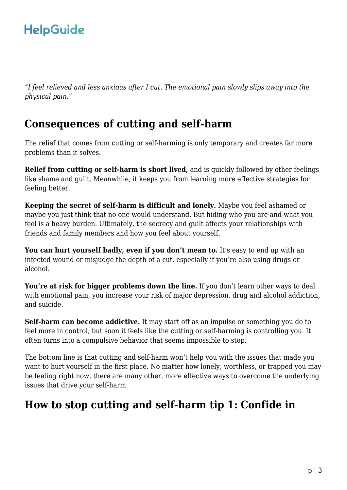*"I feel relieved and less anxious after I cut. The emotional pain slowly slips away into the physical pain."*

## **Consequences of cutting and self-harm**

The relief that comes from cutting or self-harming is only temporary and creates far more problems than it solves.

**Relief from cutting or self-harm is short lived,** and is quickly followed by other feelings like shame and guilt. Meanwhile, it keeps you from learning more effective strategies for feeling better.

**Keeping the secret of self-harm is difficult and lonely.** Maybe you feel ashamed or maybe you just think that no one would understand. But hiding who you are and what you feel is a heavy burden. Ultimately, the secrecy and guilt affects your relationships with friends and family members and how you feel about yourself.

You can hurt yourself badly, even if you don't mean to. It's easy to end up with an infected wound or misjudge the depth of a cut, especially if you're also using drugs or alcohol.

You're at risk for bigger problems down the line. If you don't learn other ways to deal with emotional pain, you increase your risk of major depression, drug and alcohol addiction, and suicide.

**Self-harm can become addictive.** It may start off as an impulse or something you do to feel more in control, but soon it feels like the cutting or self-harming is controlling you. It often turns into a compulsive behavior that seems impossible to stop.

The bottom line is that cutting and self-harm won't help you with the issues that made you want to hurt yourself in the first place. No matter how lonely, worthless, or trapped you may be feeling right now, there are many other, more effective ways to overcome the underlying issues that drive your self-harm.

### **How to stop cutting and self-harm tip 1: Confide in**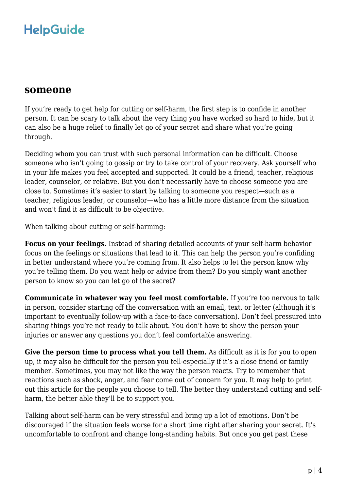#### **someone**

If you're ready to get help for cutting or self-harm, the first step is to confide in another person. It can be scary to talk about the very thing you have worked so hard to hide, but it can also be a huge relief to finally let go of your secret and share what you're going through.

Deciding whom you can trust with such personal information can be difficult. Choose someone who isn't going to gossip or try to take control of your recovery. Ask yourself who in your life makes you feel accepted and supported. It could be a friend, teacher, religious leader, counselor, or relative. But you don't necessarily have to choose someone you are close to. Sometimes it's easier to start by talking to someone you respect—such as a teacher, religious leader, or counselor—who has a little more distance from the situation and won't find it as difficult to be objective.

When talking about cutting or self-harming:

**Focus on your feelings.** Instead of sharing detailed accounts of your self-harm behavior focus on the feelings or situations that lead to it. This can help the person you're confiding in better understand where you're coming from. It also helps to let the person know why you're telling them. Do you want help or advice from them? Do you simply want another person to know so you can let go of the secret?

**Communicate in whatever way you feel most comfortable.** If you're too nervous to talk in person, consider starting off the conversation with an email, text, or letter (although it's important to eventually follow-up with a face-to-face conversation). Don't feel pressured into sharing things you're not ready to talk about. You don't have to show the person your injuries or answer any questions you don't feel comfortable answering.

**Give the person time to process what you tell them.** As difficult as it is for you to open up, it may also be difficult for the person you tell-especially if it's a close friend or family member. Sometimes, you may not like the way the person reacts. Try to remember that reactions such as shock, anger, and fear come out of concern for you. It may help to print out this article for the people you choose to tell. The better they understand cutting and selfharm, the better able they'll be to support you.

Talking about self-harm can be very stressful and bring up a lot of emotions. Don't be discouraged if the situation feels worse for a short time right after sharing your secret. It's uncomfortable to confront and change long-standing habits. But once you get past these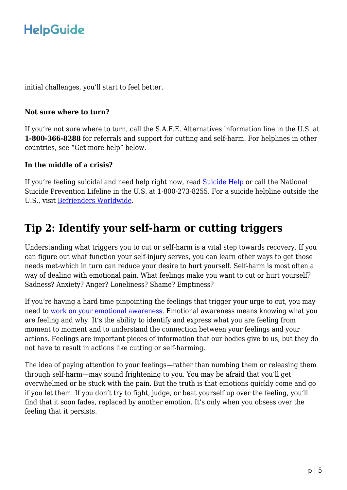initial challenges, you'll start to feel better.

#### **Not sure where to turn?**

If you're not sure where to turn, call the S.A.F.E. Alternatives information line in the U.S. at **1-800-366-8288** for referrals and support for cutting and self-harm. For helplines in other countries, see "Get more help" below.

#### **In the middle of a crisis?**

If you're feeling suicidal and need help right now, read [Suicide Help](https://www.helpguide.org/articles/suicide-prevention/are-you-feeling-suicidal.htm) or call the National Suicide Prevention Lifeline in the U.S. at 1-800-273-8255. For a suicide helpline outside the U.S., visit [Befrienders Worldwide.](http://www.befrienders.org/)

### **Tip 2: Identify your self-harm or cutting triggers**

Understanding what triggers you to cut or self-harm is a vital step towards recovery. If you can figure out what function your self-injury serves, you can learn other ways to get those needs met-which in turn can reduce your desire to hurt yourself. Self-harm is most often a way of dealing with emotional pain. What feelings make you want to cut or hurt yourself? Sadness? Anxiety? Anger? Loneliness? Shame? Emptiness?

If you're having a hard time pinpointing the feelings that trigger your urge to cut, you may need to [work on your emotional awareness.](https://www.helpguide.org/articles/mental-health/emotional-intelligence-toolkit.htm) Emotional awareness means knowing what you are feeling and why. It's the ability to identify and express what you are feeling from moment to moment and to understand the connection between your feelings and your actions. Feelings are important pieces of information that our bodies give to us, but they do not have to result in actions like cutting or self-harming.

The idea of paying attention to your feelings—rather than numbing them or releasing them through self-harm—may sound frightening to you. You may be afraid that you'll get overwhelmed or be stuck with the pain. But the truth is that emotions quickly come and go if you let them. If you don't try to fight, judge, or beat yourself up over the feeling, you'll find that it soon fades, replaced by another emotion. It's only when you obsess over the feeling that it persists.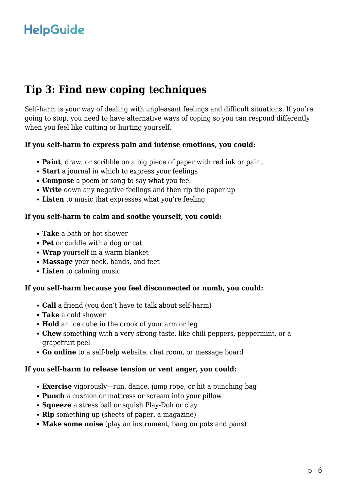## **Tip 3: Find new coping techniques**

Self-harm is your way of dealing with unpleasant feelings and difficult situations. If you're going to stop, you need to have alternative ways of coping so you can respond differently when you feel like cutting or hurting yourself.

#### **If you self-harm to express pain and intense emotions, you could:**

- **Paint**, draw, or scribble on a big piece of paper with red ink or paint
- **Start** a journal in which to express your feelings
- **Compose** a poem or song to say what you feel
- **Write** down any negative feelings and then rip the paper up
- **Listen** to music that expresses what you're feeling

#### **If you self-harm to calm and soothe yourself, you could:**

- **Take** a bath or hot shower
- **Pet** or cuddle with a dog or cat
- **Wrap** yourself in a warm blanket
- **Massage** your neck, hands, and feet
- **Listen** to calming music

#### **If you self-harm because you feel disconnected or numb, you could:**

- **Call** a friend (you don't have to talk about self-harm)
- **Take** a cold shower
- **Hold** an ice cube in the crook of your arm or leg
- **Chew** something with a very strong taste, like chili peppers, peppermint, or a grapefruit peel
- **Go online** to a self-help website, chat room, or message board

#### **If you self-harm to release tension or vent anger, you could:**

- **Exercise** vigorously—run, dance, jump rope, or hit a punching bag
- **Punch** a cushion or mattress or scream into your pillow
- **Squeeze** a stress ball or squish Play-Doh or clay
- **Rip** something up (sheets of paper, a magazine)
- **Make some noise** (play an instrument, bang on pots and pans)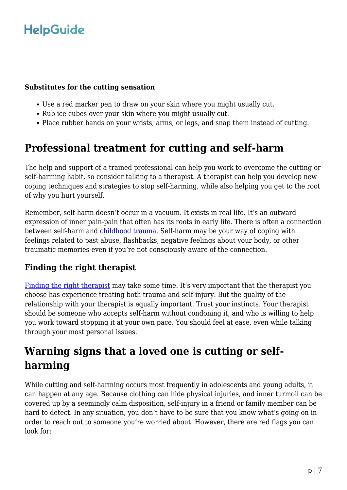#### **Substitutes for the cutting sensation**

- Use a red marker pen to draw on your skin where you might usually cut.
- Rub ice cubes over your skin where you might usually cut.
- Place rubber bands on your wrists, arms, or legs, and snap them instead of cutting.

## **Professional treatment for cutting and self-harm**

The help and support of a trained professional can help you work to overcome the cutting or self-harming habit, so consider talking to a therapist. A therapist can help you develop new coping techniques and strategies to stop self-harming, while also helping you get to the root of why you hurt yourself.

Remember, self-harm doesn't occur in a vacuum. It exists in real life. It's an outward expression of inner pain-pain that often has its roots in early life. There is often a connection between self-harm and [childhood trauma](https://www.helpguide.org/articles/ptsd-trauma/coping-with-emotional-and-psychological-trauma.htm). Self-harm may be your way of coping with feelings related to past abuse, flashbacks, negative feelings about your body, or other traumatic memories-even if you're not consciously aware of the connection.

### **Finding the right therapist**

[Finding the right therapist](https://www.helpguide.org/articles/mental-health/finding-a-therapist-who-can-help-you-heal.htm) may take some time. It's very important that the therapist you choose has experience treating both trauma and self-injury. But the quality of the relationship with your therapist is equally important. Trust your instincts. Your therapist should be someone who accepts self-harm without condoning it, and who is willing to help you work toward stopping it at your own pace. You should feel at ease, even while talking through your most personal issues.

## **Warning signs that a loved one is cutting or selfharming**

While cutting and self-harming occurs most frequently in adolescents and young adults, it can happen at any age. Because clothing can hide physical injuries, and inner turmoil can be covered up by a seemingly calm disposition, self-injury in a friend or family member can be hard to detect. In any situation, you don't have to be sure that you know what's going on in order to reach out to someone you're worried about. However, there are red flags you can look for: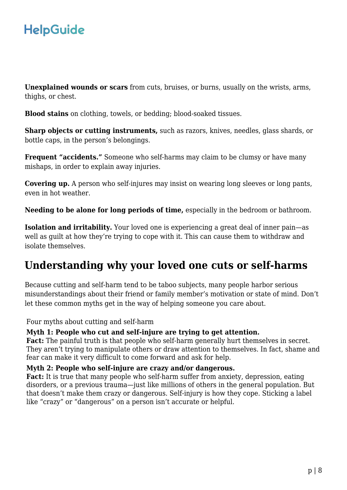**Unexplained wounds or scars** from cuts, bruises, or burns, usually on the wrists, arms, thighs, or chest.

**Blood stains** on clothing, towels, or bedding; blood-soaked tissues.

**Sharp objects or cutting instruments,** such as razors, knives, needles, glass shards, or bottle caps, in the person's belongings.

**Frequent "accidents."** Someone who self-harms may claim to be clumsy or have many mishaps, in order to explain away injuries.

**Covering up.** A person who self-injures may insist on wearing long sleeves or long pants, even in hot weather.

**Needing to be alone for long periods of time,** especially in the bedroom or bathroom.

**Isolation and irritability.** Your loved one is experiencing a great deal of inner pain—as well as guilt at how they're trying to cope with it. This can cause them to withdraw and isolate themselves.

## **Understanding why your loved one cuts or self-harms**

Because cutting and self-harm tend to be taboo subjects, many people harbor serious misunderstandings about their friend or family member's motivation or state of mind. Don't let these common myths get in the way of helping someone you care about.

Four myths about cutting and self-harm

#### **Myth 1: People who cut and self-injure are trying to get attention.**

**Fact:** The painful truth is that people who self-harm generally hurt themselves in secret. They aren't trying to manipulate others or draw attention to themselves. In fact, shame and fear can make it very difficult to come forward and ask for help.

#### **Myth 2: People who self-injure are crazy and/or dangerous.**

**Fact:** It is true that many people who self-harm suffer from anxiety, depression, eating disorders, or a previous trauma—just like millions of others in the general population. But that doesn't make them crazy or dangerous. Self-injury is how they cope. Sticking a label like "crazy" or "dangerous" on a person isn't accurate or helpful.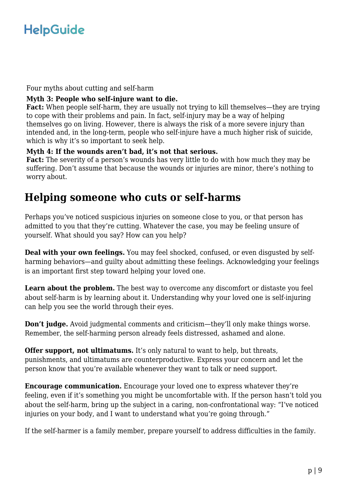Four myths about cutting and self-harm

#### **Myth 3: People who self-injure want to die.**

**Fact:** When people self-harm, they are usually not trying to kill themselves—they are trying to cope with their problems and pain. In fact, self-injury may be a way of helping themselves go on living. However, there is always the risk of a more severe injury than intended and, in the long-term, people who self-injure have a much higher risk of suicide, which is why it's so important to seek help.

#### **Myth 4: If the wounds aren't bad, it's not that serious.**

**Fact:** The severity of a person's wounds has very little to do with how much they may be suffering. Don't assume that because the wounds or injuries are minor, there's nothing to worry about.

### **Helping someone who cuts or self-harms**

Perhaps you've noticed suspicious injuries on someone close to you, or that person has admitted to you that they're cutting. Whatever the case, you may be feeling unsure of yourself. What should you say? How can you help?

**Deal with your own feelings.** You may feel shocked, confused, or even disgusted by selfharming behaviors—and guilty about admitting these feelings. Acknowledging your feelings is an important first step toward helping your loved one.

**Learn about the problem.** The best way to overcome any discomfort or distaste you feel about self-harm is by learning about it. Understanding why your loved one is self-injuring can help you see the world through their eyes.

**Don't judge.** Avoid judgmental comments and criticism—they'll only make things worse. Remember, the self-harming person already feels distressed, ashamed and alone.

**Offer support, not ultimatums.** It's only natural to want to help, but threats, punishments, and ultimatums are counterproductive. Express your concern and let the person know that you're available whenever they want to talk or need support.

**Encourage communication.** Encourage your loved one to express whatever they're feeling, even if it's something you might be uncomfortable with. If the person hasn't told you about the self-harm, bring up the subject in a caring, non-confrontational way: "I've noticed injuries on your body, and I want to understand what you're going through."

If the self-harmer is a family member, prepare yourself to address difficulties in the family.